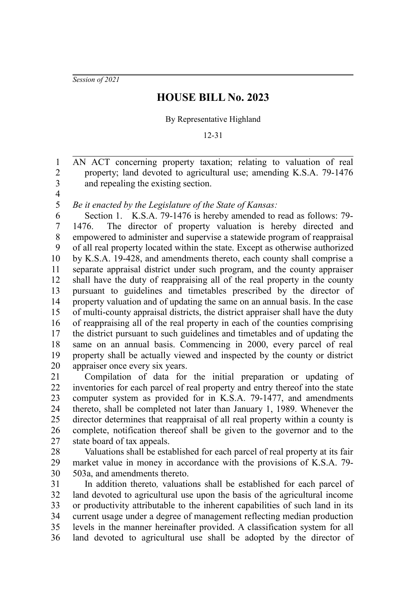*Session of 2021*

## **HOUSE BILL No. 2023**

## By Representative Highland

12-31

AN ACT concerning property taxation; relating to valuation of real property; land devoted to agricultural use; amending K.S.A. 79-1476 and repealing the existing section.

3 4 5

1 2

*Be it enacted by the Legislature of the State of Kansas:*

Section 1. K.S.A. 79-1476 is hereby amended to read as follows: 79- 1476. The director of property valuation is hereby directed and empowered to administer and supervise a statewide program of reappraisal of all real property located within the state. Except as otherwise authorized by K.S.A. 19-428, and amendments thereto, each county shall comprise a separate appraisal district under such program, and the county appraiser shall have the duty of reappraising all of the real property in the county pursuant to guidelines and timetables prescribed by the director of property valuation and of updating the same on an annual basis. In the case of multi-county appraisal districts, the district appraiser shall have the duty of reappraising all of the real property in each of the counties comprising the district pursuant to such guidelines and timetables and of updating the same on an annual basis. Commencing in 2000, every parcel of real property shall be actually viewed and inspected by the county or district appraiser once every six years. 6 7 8 9 10 11 12 13 14 15 16 17 18 19 20

Compilation of data for the initial preparation or updating of inventories for each parcel of real property and entry thereof into the state computer system as provided for in K.S.A. 79-1477, and amendments thereto, shall be completed not later than January 1, 1989. Whenever the director determines that reappraisal of all real property within a county is complete, notification thereof shall be given to the governor and to the state board of tax appeals. 21 22 23 24 25 26 27

Valuations shall be established for each parcel of real property at its fair market value in money in accordance with the provisions of K.S.A. 79- 503a, and amendments thereto. 28 29 30

In addition thereto*,* valuations shall be established for each parcel of land devoted to agricultural use upon the basis of the agricultural income or productivity attributable to the inherent capabilities of such land in its current usage under a degree of management reflecting median production levels in the manner hereinafter provided. A classification system for all land devoted to agricultural use shall be adopted by the director of 31 32 33 34 35 36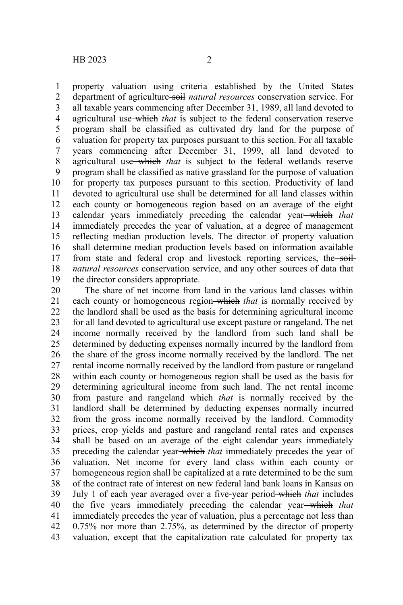property valuation using criteria established by the United States department of agriculture soil *natural resources* conservation service. For all taxable years commencing after December 31, 1989, all land devoted to agricultural use which *that* is subject to the federal conservation reserve program shall be classified as cultivated dry land for the purpose of valuation for property tax purposes pursuant to this section. For all taxable years commencing after December 31, 1999, all land devoted to agricultural use which *that* is subject to the federal wetlands reserve program shall be classified as native grassland for the purpose of valuation for property tax purposes pursuant to this section. Productivity of land devoted to agricultural use shall be determined for all land classes within each county or homogeneous region based on an average of the eight calendar years immediately preceding the calendar year which *that*

immediately precedes the year of valuation, at a degree of management reflecting median production levels. The director of property valuation shall determine median production levels based on information available from state and federal crop and livestock reporting services, the soil*natural resources* conservation service, and any other sources of data that the director considers appropriate. 14 15 16 17 18 19

The share of net income from land in the various land classes within each county or homogeneous region-which *that* is normally received by the landlord shall be used as the basis for determining agricultural income for all land devoted to agricultural use except pasture or rangeland. The net income normally received by the landlord from such land shall be determined by deducting expenses normally incurred by the landlord from the share of the gross income normally received by the landlord. The net rental income normally received by the landlord from pasture or rangeland within each county or homogeneous region shall be used as the basis for determining agricultural income from such land. The net rental income from pasture and rangeland which *that* is normally received by the landlord shall be determined by deducting expenses normally incurred from the gross income normally received by the landlord. Commodity prices, crop yields and pasture and rangeland rental rates and expenses shall be based on an average of the eight calendar years immediately preceding the calendar year which *that* immediately precedes the year of valuation. Net income for every land class within each county or homogeneous region shall be capitalized at a rate determined to be the sum of the contract rate of interest on new federal land bank loans in Kansas on July 1 of each year averaged over a five-year period which *that* includes the five years immediately preceding the calendar year which *that* immediately precedes the year of valuation, plus a percentage not less than 0.75% nor more than 2.75%, as determined by the director of property valuation, except that the capitalization rate calculated for property tax 20 21 22 23 24 25 26 27 28 29 30 31 32 33 34 35 36 37 38 39 40 41 42 43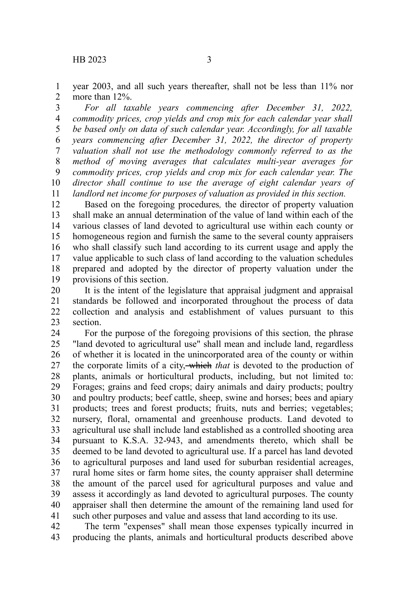year 2003, and all such years thereafter, shall not be less than 11% nor more than 12%. 1 2

*For all taxable years commencing after December 31, 2022, commodity prices, crop yields and crop mix for each calendar year shall be based only on data of such calendar year. Accordingly, for all taxable years commencing after December 31, 2022, the director of property valuation shall not use the methodology commonly referred to as the method of moving averages that calculates multi-year averages for commodity prices, crop yields and crop mix for each calendar year. The director shall continue to use the average of eight calendar years of landlord net income for purposes of valuation as provided in this section.* 3 4 5 6 7 8 9 10 11

Based on the foregoing procedures*,* the director of property valuation shall make an annual determination of the value of land within each of the various classes of land devoted to agricultural use within each county or homogeneous region and furnish the same to the several county appraisers who shall classify such land according to its current usage and apply the value applicable to such class of land according to the valuation schedules prepared and adopted by the director of property valuation under the provisions of this section. 12 13 14 15 16 17 18 19

It is the intent of the legislature that appraisal judgment and appraisal standards be followed and incorporated throughout the process of data collection and analysis and establishment of values pursuant to this section. 20 21 22 23

For the purpose of the foregoing provisions of this section*,* the phrase "land devoted to agricultural use" shall mean and include land, regardless of whether it is located in the unincorporated area of the county or within the corporate limits of a city, which *that* is devoted to the production of plants, animals or horticultural products, including, but not limited to: Forages; grains and feed crops; dairy animals and dairy products; poultry and poultry products; beef cattle, sheep, swine and horses; bees and apiary products; trees and forest products; fruits, nuts and berries; vegetables; nursery, floral, ornamental and greenhouse products. Land devoted to agricultural use shall include land established as a controlled shooting area pursuant to K.S.A. 32-943, and amendments thereto, which shall be deemed to be land devoted to agricultural use. If a parcel has land devoted to agricultural purposes and land used for suburban residential acreages, rural home sites or farm home sites, the county appraiser shall determine the amount of the parcel used for agricultural purposes and value and assess it accordingly as land devoted to agricultural purposes. The county appraiser shall then determine the amount of the remaining land used for such other purposes and value and assess that land according to its use. 24 25 26 27 28 29 30 31 32 33 34 35 36 37 38 39 40 41

The term "expenses" shall mean those expenses typically incurred in producing the plants, animals and horticultural products described above 42 43